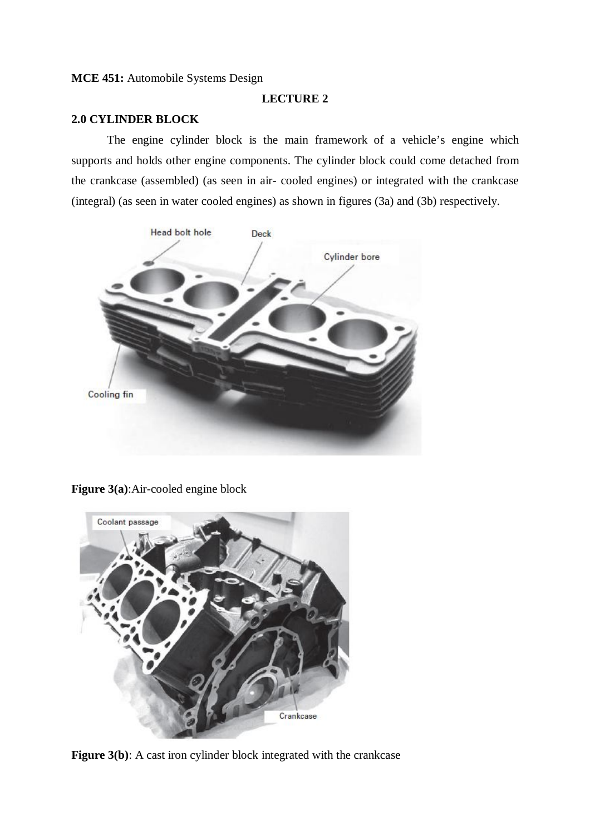## **MCE 451:** Automobile Systems Design

## **LECTURE 2**

# **2.0 CYLINDER BLOCK**

The engine cylinder block is the main framework of a vehicle's engine which supports and holds other engine components. The cylinder block could come detached from the crankcase (assembled) (as seen in air- cooled engines) or integrated with the crankcase (integral) (as seen in water cooled engines) as shown in figures (3a) and (3b) respectively.



**Figure 3(a)**:Air-cooled engine block



Figure 3(b): A cast iron cylinder block integrated with the crankcase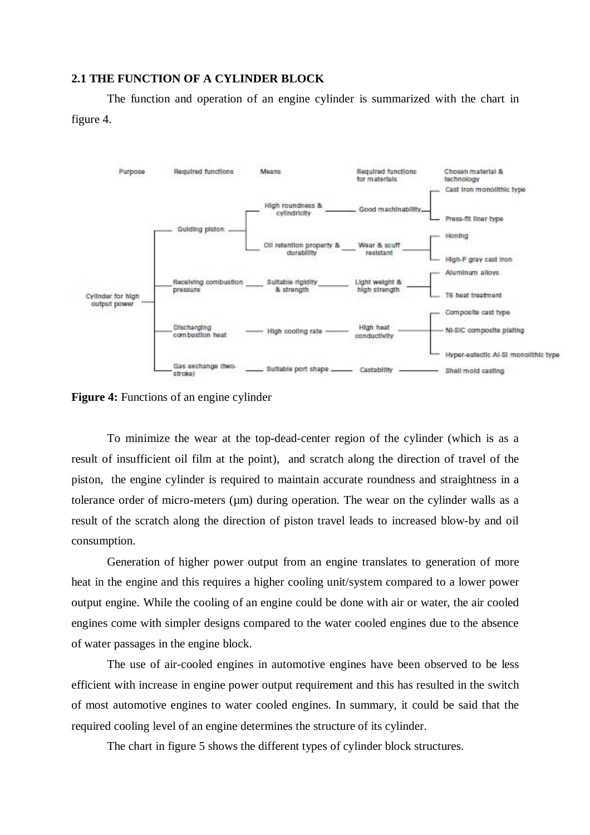#### **2.1 THE FUNCTION OF A CYLINDER BLOCK**

The function and operation of an engine cylinder is summarized with the chart in figure 4.



**Figure 4:** Functions of an engine cylinder

To minimize the wear at the top-dead-center region of the cylinder (which is as a result of insufficient oil film at the point), and scratch along the direction of travel of the piston, the engine cylinder is required to maintain accurate roundness and straightness in a tolerance order of micro-meters  $(\mu m)$  during operation. The wear on the cylinder walls as a result of the scratch along the direction of piston travel leads to increased blow-by and oil consumption.

Generation of higher power output from an engine translates to generation of more heat in the engine and this requires a higher cooling unit/system compared to a lower power output engine. While the cooling of an engine could be done with air or water, the air cooled engines come with simpler designs compared to the water cooled engines due to the absence of water passages in the engine block.

The use of air-cooled engines in automotive engines have been observed to be less efficient with increase in engine power output requirement and this has resulted in the switch of most automotive engines to water cooled engines. In summary, it could be said that the required cooling level of an engine determines the structure of its cylinder.

The chart in figure 5 shows the different types of cylinder block structures.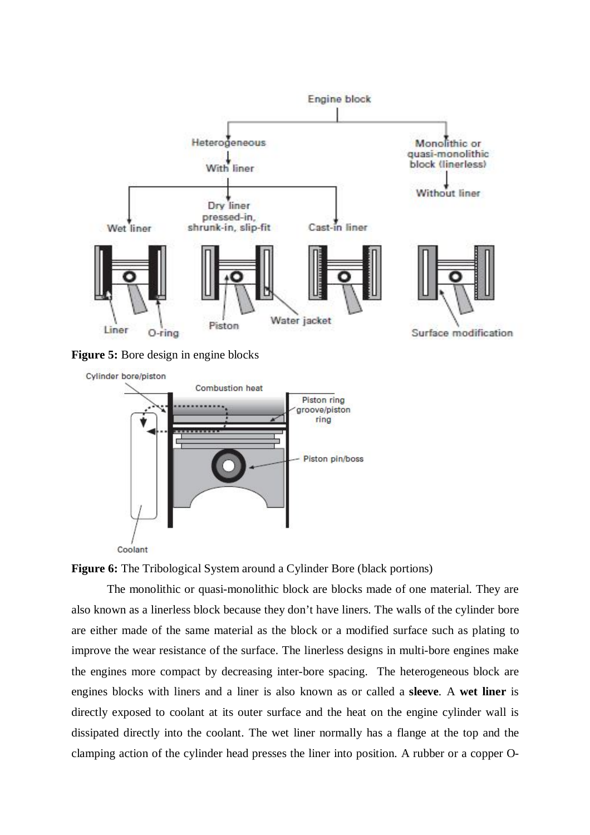

**Figure 5:** Bore design in engine blocks





The monolithic or quasi-monolithic block are blocks made of one material. They are also known as a linerless block because they don't have liners. The walls of the cylinder bore are either made of the same material as the block or a modified surface such as plating to improve the wear resistance of the surface. The linerless designs in multi-bore engines make the engines more compact by decreasing inter-bore spacing. The heterogeneous block are engines blocks with liners and a liner is also known as or called a **sleeve**. A **wet liner** is directly exposed to coolant at its outer surface and the heat on the engine cylinder wall is dissipated directly into the coolant. The wet liner normally has a flange at the top and the clamping action of the cylinder head presses the liner into position. A rubber or a copper O-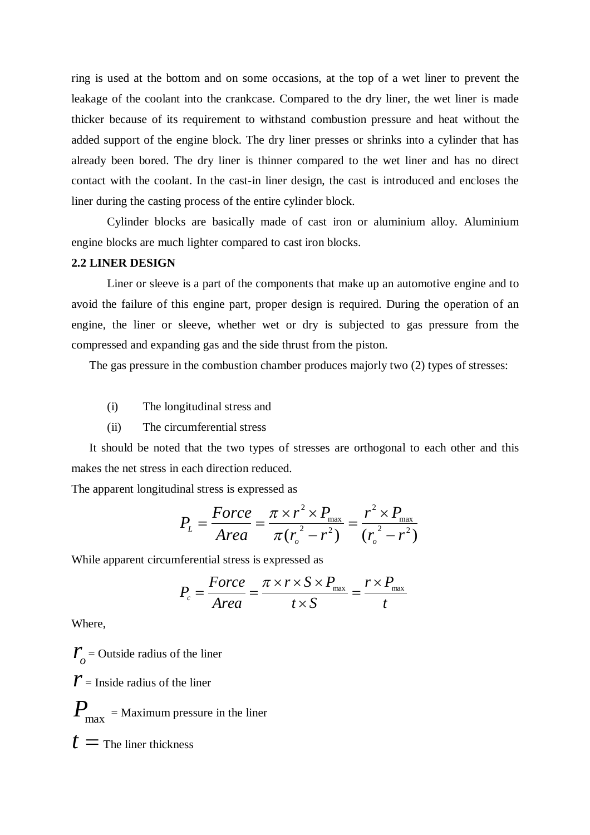ring is used at the bottom and on some occasions, at the top of a wet liner to prevent the leakage of the coolant into the crankcase. Compared to the dry liner, the wet liner is made thicker because of its requirement to withstand combustion pressure and heat without the added support of the engine block. The dry liner presses or shrinks into a cylinder that has already been bored. The dry liner is thinner compared to the wet liner and has no direct contact with the coolant. In the cast-in liner design, the cast is introduced and encloses the liner during the casting process of the entire cylinder block.

Cylinder blocks are basically made of cast iron or aluminium alloy. Aluminium engine blocks are much lighter compared to cast iron blocks.

#### **2.2 LINER DESIGN**

Liner or sleeve is a part of the components that make up an automotive engine and to avoid the failure of this engine part, proper design is required. During the operation of an engine, the liner or sleeve, whether wet or dry is subjected to gas pressure from the compressed and expanding gas and the side thrust from the piston.

The gas pressure in the combustion chamber produces majorly two (2) types of stresses:

- (i) The longitudinal stress and
- (ii) The circumferential stress

It should be noted that the two types of stresses are orthogonal to each other and this makes the net stress in each direction reduced.

The apparent longitudinal stress is expressed as

$$
P_{L} = \frac{Force}{Area} = \frac{\pi \times r^{2} \times P_{\text{max}}}{\pi (r_{o}^{2} - r^{2})} = \frac{r^{2} \times P_{\text{max}}}{(r_{o}^{2} - r^{2})}
$$

While apparent circumferential stress is expressed as

$$
P_c = \frac{Force}{Area} = \frac{\pi \times r \times S \times P_{max}}{t \times S} = \frac{r \times P_{max}}{t}
$$

Where,

 $r_{o}$  = Outside radius of the liner  $\mathbf{r}$  = Inside radius of the liner  $\boldsymbol{P}_{\text{max}}^{}$  = Maximum pressure in the liner  $t =$ The liner thickness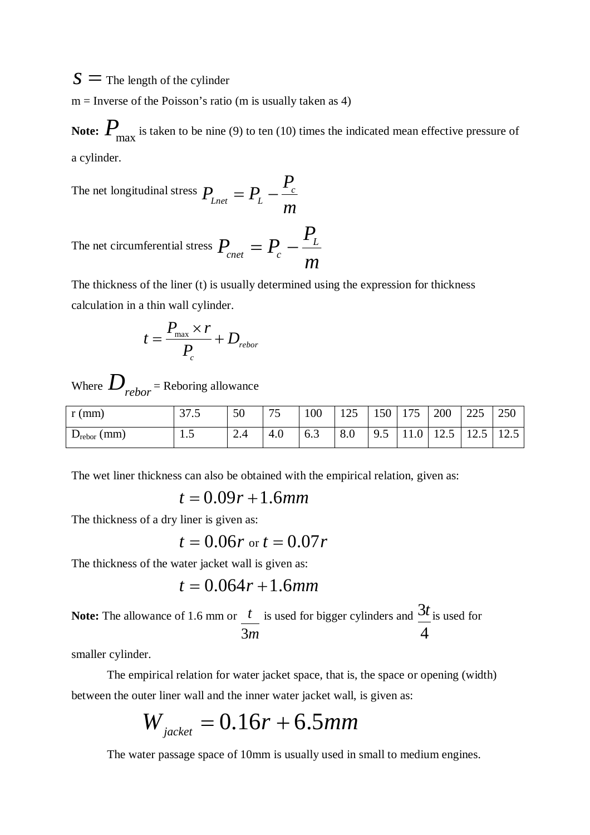$s =$ The length of the cylinder

 $m =$  Inverse of the Poisson's ratio (m is usually taken as 4)

Note:  $P_{\text{max}}$  is taken to be nine (9) to ten (10) times the indicated mean effective pressure of a cylinder.

The net longitudinal stress *m P*  $P_{\text{Lnet}} = P_{\text{L}} - \frac{I_c}{I_c}$ 

The net circumferential stress *m P*  $P_{_{enet}} = P_{_c} - \frac{I_L}{I}$  $P_{\text{cnet}} = P_{\text{c}} -$ 

The thickness of the liner (t) is usually determined using the expression for thickness calculation in a thin wall cylinder.

$$
t = \frac{P_{\text{max}} \times r}{P_c} + D_{\text{rebor}}
$$

Where  $D_{rebor}$  = Reboring allowance

| $r$ (mm)             | 27<br>ن ، ر | 50  | 75<br>IJ | 100 | 125 | 150 | 175  | 200  | 225<br>دعه | 250  |
|----------------------|-------------|-----|----------|-----|-----|-----|------|------|------------|------|
| $D_{\rm rebor}$ (mm) | 1.J         | 2.4 | 4.0      | 6.3 | 8.0 | 9.5 | 11.0 | 12.5 | 12.5       | 12.5 |

The wet liner thickness can also be obtained with the empirical relation, given as:

$$
t = 0.09r + 1.6mm
$$

The thickness of a dry liner is given as:

$$
t = 0.06r
$$
 or  $t = 0.07r$ 

The thickness of the water jacket wall is given as:

$$
t=0.064r+1.6mm
$$

**Note:** The allowance of 1.6 mm or *m t* 3 is used for bigger cylinders and 4 3*t* is used for

smaller cylinder.

The empirical relation for water jacket space, that is, the space or opening (width) between the outer liner wall and the inner water jacket wall, is given as:

$$
W_{\text{jacket}} = 0.16r + 6.5mm
$$

The water passage space of 10mm is usually used in small to medium engines.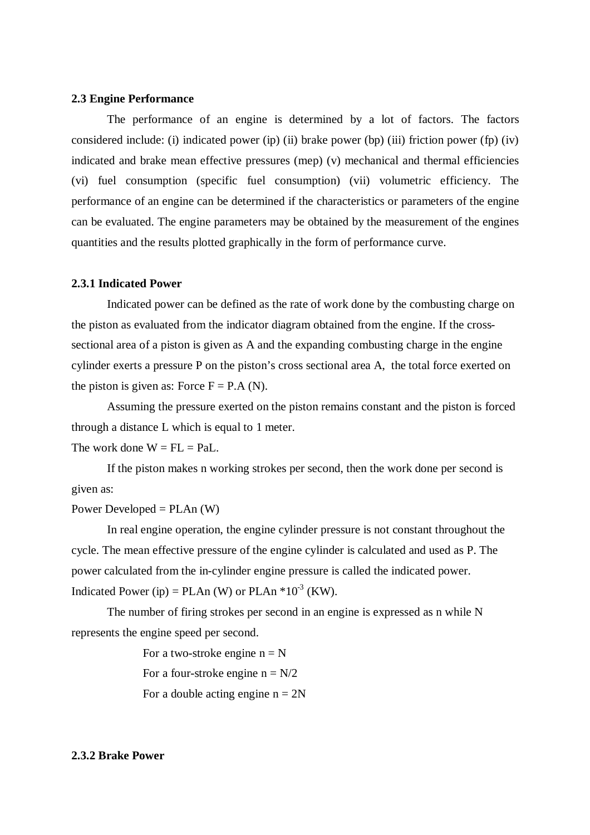#### **2.3 Engine Performance**

The performance of an engine is determined by a lot of factors. The factors considered include: (i) indicated power (ip) (ii) brake power (bp) (iii) friction power (fp) (iv) indicated and brake mean effective pressures (mep) (v) mechanical and thermal efficiencies (vi) fuel consumption (specific fuel consumption) (vii) volumetric efficiency. The performance of an engine can be determined if the characteristics or parameters of the engine can be evaluated. The engine parameters may be obtained by the measurement of the engines quantities and the results plotted graphically in the form of performance curve.

#### **2.3.1 Indicated Power**

Indicated power can be defined as the rate of work done by the combusting charge on the piston as evaluated from the indicator diagram obtained from the engine. If the crosssectional area of a piston is given as A and the expanding combusting charge in the engine cylinder exerts a pressure P on the piston's cross sectional area A, the total force exerted on the piston is given as: Force  $F = P.A (N)$ .

Assuming the pressure exerted on the piston remains constant and the piston is forced through a distance L which is equal to 1 meter.

The work done  $W = FL = Pal.$ 

If the piston makes n working strokes per second, then the work done per second is given as:

#### Power Developed =  $PLAn (W)$

In real engine operation, the engine cylinder pressure is not constant throughout the cycle. The mean effective pressure of the engine cylinder is calculated and used as P. The power calculated from the in-cylinder engine pressure is called the indicated power. Indicated Power (ip) = PLAn (W) or PLAn  $*10^{-3}$  (KW).

The number of firing strokes per second in an engine is expressed as n while N represents the engine speed per second.

> For a two-stroke engine  $n = N$ For a four-stroke engine  $n = N/2$ For a double acting engine  $n = 2N$

#### **2.3.2 Brake Power**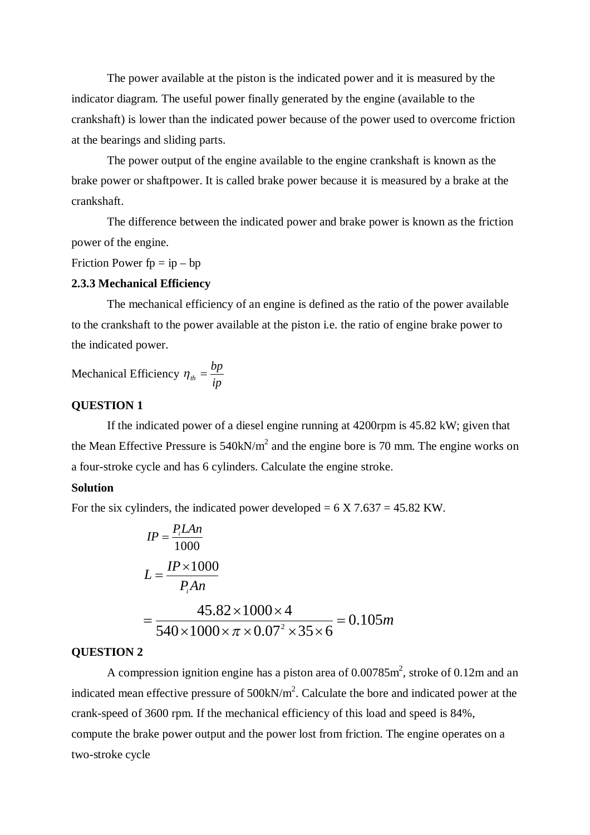The power available at the piston is the indicated power and it is measured by the indicator diagram. The useful power finally generated by the engine (available to the crankshaft) is lower than the indicated power because of the power used to overcome friction at the bearings and sliding parts.

The power output of the engine available to the engine crankshaft is known as the brake power or shaftpower. It is called brake power because it is measured by a brake at the crankshaft.

The difference between the indicated power and brake power is known as the friction power of the engine.

Friction Power  $fp = ip - bp$ 

### **2.3.3 Mechanical Efficiency**

The mechanical efficiency of an engine is defined as the ratio of the power available to the crankshaft to the power available at the piston i.e. the ratio of engine brake power to the indicated power.

Mechanical Efficiency *ip*  $\eta_{th} = \frac{bp}{\cdot}$ 

# **QUESTION 1**

If the indicated power of a diesel engine running at 4200rpm is 45.82 kW; given that the Mean Effective Pressure is  $540 \text{kN/m}^2$  and the engine bore is 70 mm. The engine works on a four-stroke cycle and has 6 cylinders. Calculate the engine stroke.

## **Solution**

For the six cylinders, the indicated power developed  $= 6 \text{ X } 7.637 = 45.82 \text{ KW.}$ 

$$
IP = \frac{P_i LAn}{1000}
$$
  
\n
$$
L = \frac{IP \times 1000}{P_i An}
$$
  
\n
$$
= \frac{45.82 \times 1000 \times 4}{540 \times 1000 \times \pi \times 0.07^2 \times 35 \times 6} = 0.105m
$$

#### **QUESTION 2**

A compression ignition engine has a piston area of  $0.00785$ m<sup>2</sup>, stroke of  $0.12$ m and an indicated mean effective pressure of  $500 \text{kN/m}^2$ . Calculate the bore and indicated power at the crank-speed of 3600 rpm. If the mechanical efficiency of this load and speed is 84%, compute the brake power output and the power lost from friction. The engine operates on a two-stroke cycle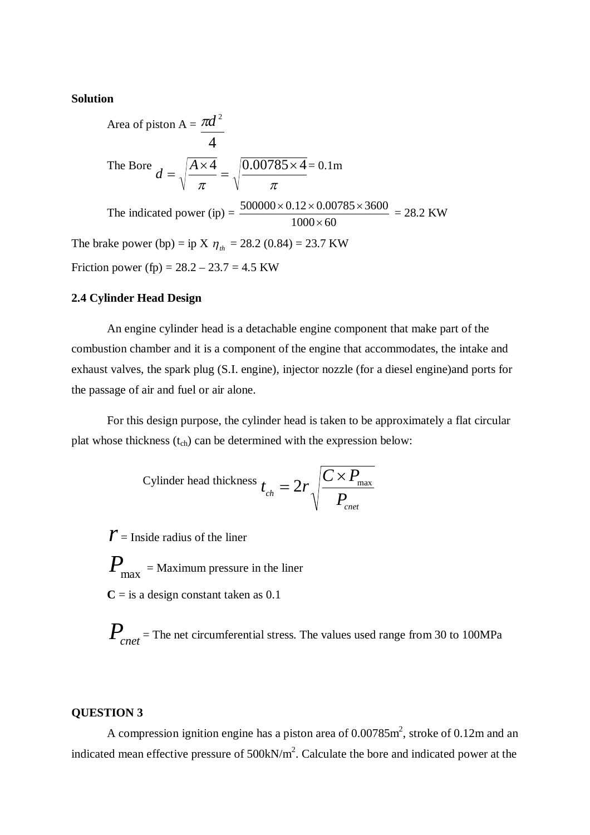## **Solution**

Area of piston  $A =$ 4  $\pi d^2$ The Bore  $\pi$   $\pi$  $4 \quad |0.00785 \times 4$  $=$  $\times$  $=$ *A*  $d = \sqrt{\frac{A \times 4}{A}} = \sqrt{\frac{0.00785 \times 4}{A}} = 0.1 \text{m}$ The indicated power  $(ip) =$  $1000 \times 60$  $500000 \times 0.12 \times 0.00785 \times 3600$  $\times$  $\frac{\times 0.12 \times 0.00785 \times 3600}{1000} = 28.2$  KW The brake power (bp) = ip X  $\eta_{th}$  = 28.2 (0.84) = 23.7 KW

Friction power (fp) =  $28.2 - 23.7 = 4.5$  KW

## **2.4 Cylinder Head Design**

An engine cylinder head is a detachable engine component that make part of the combustion chamber and it is a component of the engine that accommodates, the intake and exhaust valves, the spark plug (S.I. engine), injector nozzle (for a diesel engine)and ports for the passage of air and fuel or air alone.

For this design purpose, the cylinder head is taken to be approximately a flat circular plat whose thickness  $(t_{ch})$  can be determined with the expression below:

Cylinder head thickness 
$$
t_{ch} = 2r \sqrt{\frac{C \times P_{\text{max}}}{P_{\text{cnet}}}}
$$

 $\mathcal{Y}$  = Inside radius of the liner

 $\boldsymbol{P}_{\text{max}}^{}$  = Maximum pressure in the liner  $C =$  is a design constant taken as 0.1

*P*<sub>cnet</sub> = The net circumferential stress. The values used range from 30 to 100MPa

## **QUESTION 3**

A compression ignition engine has a piston area of  $0.00785$ m<sup>2</sup>, stroke of  $0.12$ m and an indicated mean effective pressure of  $500 \text{kN/m}^2$ . Calculate the bore and indicated power at the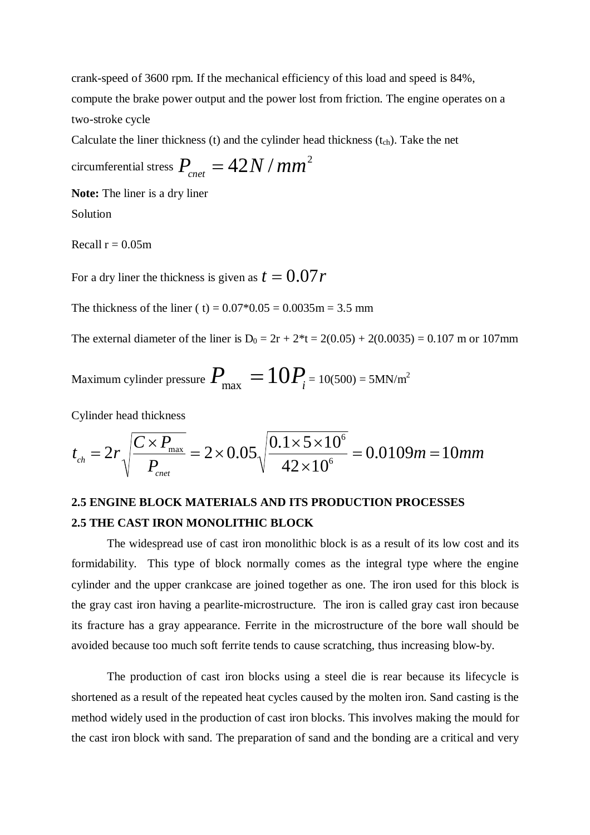crank-speed of 3600 rpm. If the mechanical efficiency of this load and speed is 84%, compute the brake power output and the power lost from friction. The engine operates on a two-stroke cycle

Calculate the liner thickness (t) and the cylinder head thickness  $(t_{ch})$ . Take the net

circumferential stress  $P_{_{cnet}}=42N$  /  $mm^2$ 

**Note:** The liner is a dry liner

Solution

Recall  $r = 0.05m$ 

For a dry liner the thickness is given as  $t = 0.07r$ 

The thickness of the liner ( t) =  $0.07*0.05 = 0.0035$  m = 3.5 mm

The external diameter of the liner is  $D_0 = 2r + 2*t = 2(0.05) + 2(0.0035) = 0.107$  m or 107mm

Maximum cylinder pressure  $P_{\rm max} = 10P_{\rm i}$  = 10(500) = 5MN/m<sup>2</sup>

Cylinder head thickness

$$
t_{\rm ch} = 2r \sqrt{\frac{C \times P_{\rm max}}{P_{\rm cent}}} = 2 \times 0.05 \sqrt{\frac{0.1 \times 5 \times 10^6}{42 \times 10^6}} = 0.0109m = 10mm
$$

# **2.5 ENGINE BLOCK MATERIALS AND ITS PRODUCTION PROCESSES 2.5 THE CAST IRON MONOLITHIC BLOCK**

The widespread use of cast iron monolithic block is as a result of its low cost and its formidability. This type of block normally comes as the integral type where the engine cylinder and the upper crankcase are joined together as one. The iron used for this block is the gray cast iron having a pearlite-microstructure. The iron is called gray cast iron because its fracture has a gray appearance. Ferrite in the microstructure of the bore wall should be avoided because too much soft ferrite tends to cause scratching, thus increasing blow-by.

The production of cast iron blocks using a steel die is rear because its lifecycle is shortened as a result of the repeated heat cycles caused by the molten iron. Sand casting is the method widely used in the production of cast iron blocks. This involves making the mould for the cast iron block with sand. The preparation of sand and the bonding are a critical and very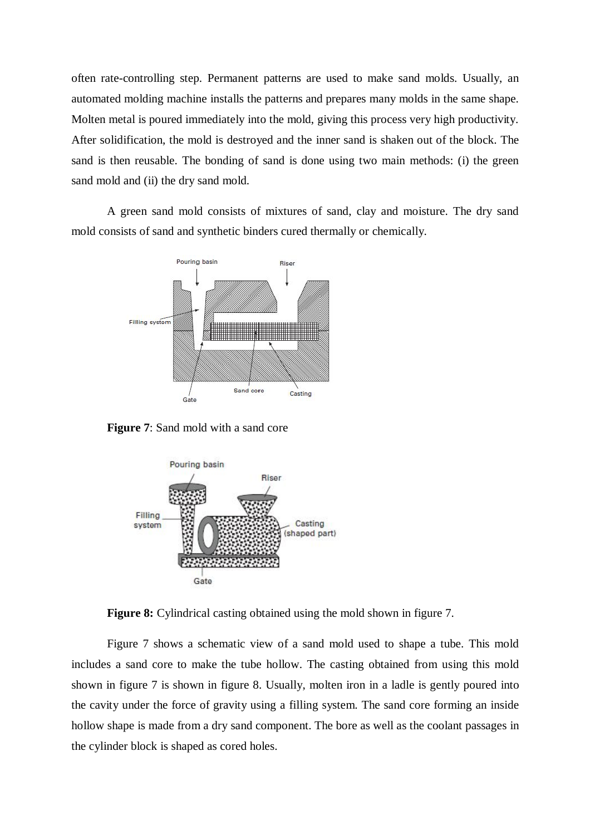often rate-controlling step. Permanent patterns are used to make sand molds. Usually, an automated molding machine installs the patterns and prepares many molds in the same shape. Molten metal is poured immediately into the mold, giving this process very high productivity. After solidification, the mold is destroyed and the inner sand is shaken out of the block. The sand is then reusable. The bonding of sand is done using two main methods: (i) the green sand mold and (ii) the dry sand mold.

A green sand mold consists of mixtures of sand, clay and moisture. The dry sand mold consists of sand and synthetic binders cured thermally or chemically.



**Figure 7**: Sand mold with a sand core



**Figure 8:** Cylindrical casting obtained using the mold shown in figure 7.

Figure 7 shows a schematic view of a sand mold used to shape a tube. This mold includes a sand core to make the tube hollow. The casting obtained from using this mold shown in figure 7 is shown in figure 8. Usually, molten iron in a ladle is gently poured into the cavity under the force of gravity using a filling system. The sand core forming an inside hollow shape is made from a dry sand component. The bore as well as the coolant passages in the cylinder block is shaped as cored holes.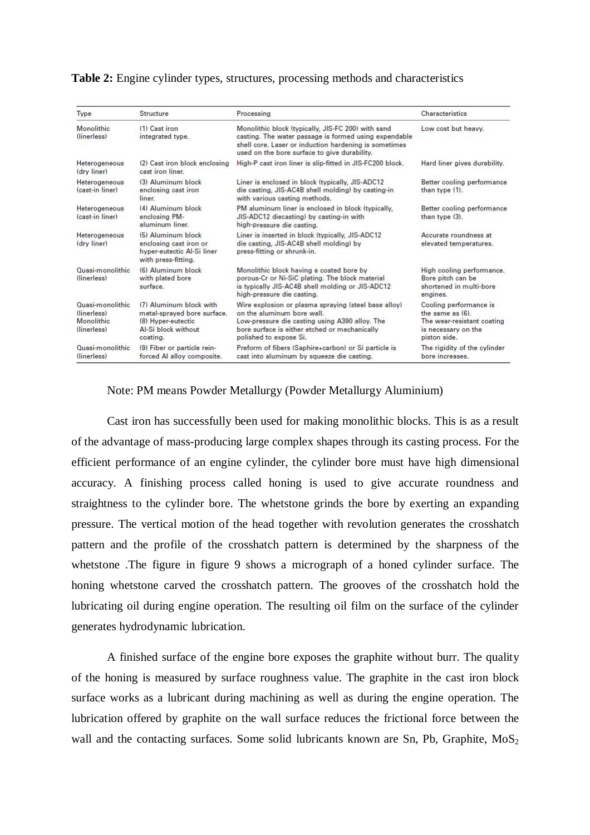| Type                                                                 | Structure                                                                                                       | Processing                                                                                                                                                                                                           | Characteristics                                                                                                   |  |
|----------------------------------------------------------------------|-----------------------------------------------------------------------------------------------------------------|----------------------------------------------------------------------------------------------------------------------------------------------------------------------------------------------------------------------|-------------------------------------------------------------------------------------------------------------------|--|
| Monolithic<br>(linerless)                                            | (1) Cast iron<br>integrated type.                                                                               | Monolithic block (typically, JIS-FC 200) with sand<br>casting. The water passage is formed using expendable<br>shell core. Laser or induction hardening is sometimes<br>used on the bore surface to give durability. | Low cost but heavy.                                                                                               |  |
| Heterogeneous<br>(dry liner)                                         | (2) Cast iron block enclosing<br>cast iron liner.                                                               | High-P cast iron liner is slip-fitted in JIS-FC200 block.                                                                                                                                                            | Hard liner gives durability.                                                                                      |  |
| Heterogeneous<br>(cast-in liner)                                     | (3) Aluminum block<br>enclosing cast iron<br>liner.                                                             | Liner is enclosed in block (typically, JIS-ADC12)<br>die casting, JIS-AC4B shell molding) by casting-in<br>with various casting methods.                                                                             | Better cooling performance<br>than type (1).                                                                      |  |
| Heterogeneous<br>(cast-in liner)                                     | (4) Aluminum block<br>enclosing PM-<br>aluminum liner.                                                          | PM aluminum liner is enclosed in block (typically,<br>JIS-ADC12 diecasting) by casting-in with<br>high-pressure die casting.                                                                                         | Better cooling performance<br>than type (3).                                                                      |  |
| Heterogeneous<br>(dry liner)                                         | (5) Aluminum block<br>enclosing cast iron or<br>hyper-eutectic Al-Si liner<br>with press-fitting.               | Liner is inserted in block (typically, JIS-ADC12)<br>die casting, JIS-AC4B shell molding) by<br>press-fitting or shrunk-in.                                                                                          | Accurate roundness at<br>elevated temperatures.                                                                   |  |
| Quasi-monolithic<br>(linerless)                                      | (6) Aluminum block<br>with plated bore<br>surface.                                                              | Monolithic block having a coated bore by<br>porous-Cr or Ni-SiC plating. The block material<br>is typically JIS-AC4B shell molding or JIS-ADC12<br>high-pressure die casting.                                        | High cooling performance.<br>Bore pitch can be<br>shortened in multi-bore<br>engines.                             |  |
| Quasi-monolithic.<br>(linerless)<br><b>Monolithic</b><br>(linerless) | (7) Aluminum block with<br>metal-sprayed bore surface.<br>(8) Hyper-eutectic<br>Al-Si block without<br>coating. | Wire explosion or plasma spraying (steel base alloy)<br>on the aluminum bore wall.<br>Low-pressure die casting using A390 alloy. The<br>bore surface is either etched or mechanically<br>polished to expose Si.      | Cooling performance is<br>the same $as(6)$ .<br>The wear-resistant coating<br>is necessary on the<br>piston side. |  |
| Quasi-monolithic<br>(linerless)                                      | (9) Fiber or particle rein-<br>forced Al alloy composite.                                                       | Preform of fibers (Saphire+carbon) or Si particle is<br>cast into aluminum by squeeze die casting.                                                                                                                   | The rigidity of the cylinder<br>bore increases.                                                                   |  |

#### **Table 2:** Engine cylinder types, structures, processing methods and characteristics

### Note: PM means Powder Metallurgy (Powder Metallurgy Aluminium)

Cast iron has successfully been used for making monolithic blocks. This is as a result of the advantage of mass-producing large complex shapes through its casting process. For the efficient performance of an engine cylinder, the cylinder bore must have high dimensional accuracy. A finishing process called honing is used to give accurate roundness and straightness to the cylinder bore. The whetstone grinds the bore by exerting an expanding pressure. The vertical motion of the head together with revolution generates the crosshatch pattern and the profile of the crosshatch pattern is determined by the sharpness of the whetstone .The figure in figure 9 shows a micrograph of a honed cylinder surface. The honing whetstone carved the crosshatch pattern. The grooves of the crosshatch hold the lubricating oil during engine operation. The resulting oil film on the surface of the cylinder generates hydrodynamic lubrication.

A finished surface of the engine bore exposes the graphite without burr. The quality of the honing is measured by surface roughness value. The graphite in the cast iron block surface works as a lubricant during machining as well as during the engine operation. The lubrication offered by graphite on the wall surface reduces the frictional force between the wall and the contacting surfaces. Some solid lubricants known are Sn, Pb, Graphite,  $MoS<sub>2</sub>$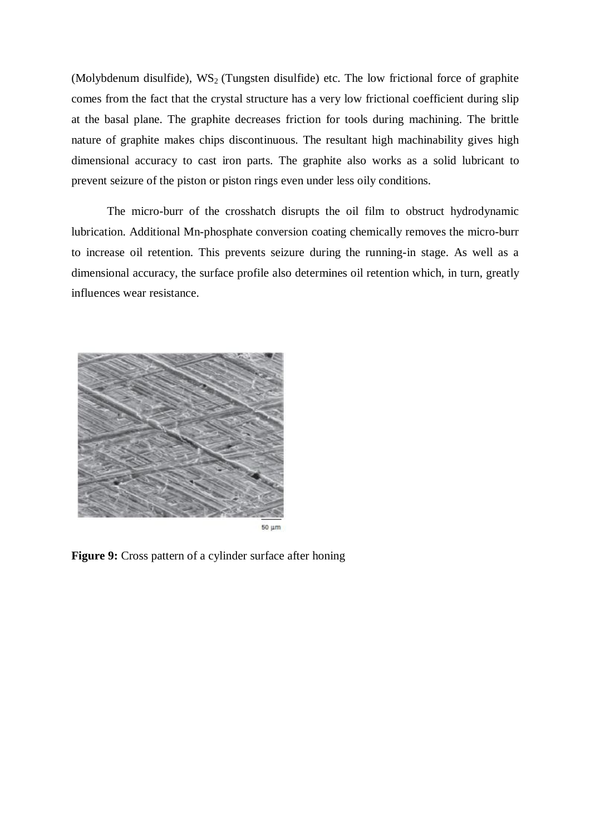(Molybdenum disulfide),  $WS_2$  (Tungsten disulfide) etc. The low frictional force of graphite comes from the fact that the crystal structure has a very low frictional coefficient during slip at the basal plane. The graphite decreases friction for tools during machining. The brittle nature of graphite makes chips discontinuous. The resultant high machinability gives high dimensional accuracy to cast iron parts. The graphite also works as a solid lubricant to prevent seizure of the piston or piston rings even under less oily conditions.

The micro-burr of the crosshatch disrupts the oil film to obstruct hydrodynamic lubrication. Additional Mn-phosphate conversion coating chemically removes the micro-burr to increase oil retention. This prevents seizure during the running-in stage. As well as a dimensional accuracy, the surface profile also determines oil retention which, in turn, greatly influences wear resistance.



**Figure 9:** Cross pattern of a cylinder surface after honing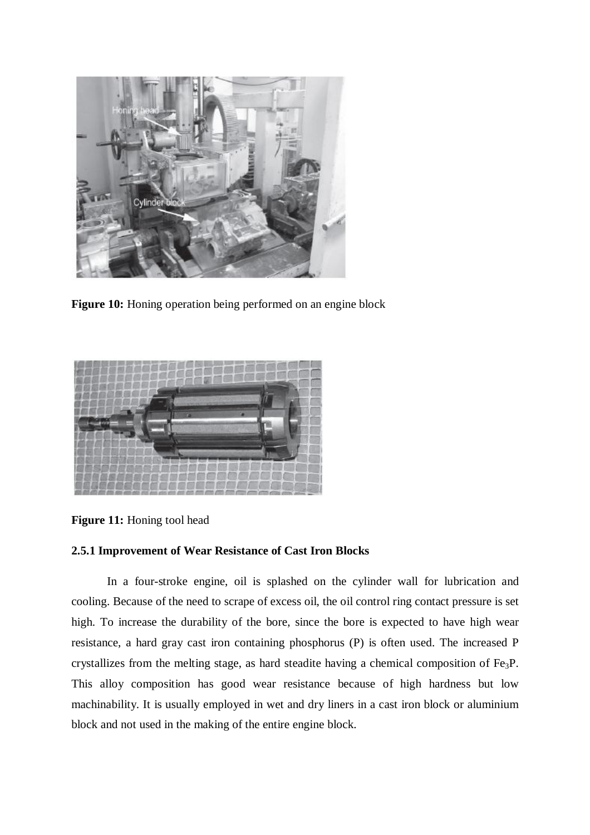

**Figure 10:** Honing operation being performed on an engine block



**Figure 11:** Honing tool head

# **2.5.1 Improvement of Wear Resistance of Cast Iron Blocks**

In a four-stroke engine, oil is splashed on the cylinder wall for lubrication and cooling. Because of the need to scrape of excess oil, the oil control ring contact pressure is set high. To increase the durability of the bore, since the bore is expected to have high wear resistance, a hard gray cast iron containing phosphorus (P) is often used. The increased P crystallizes from the melting stage, as hard steadite having a chemical composition of Fe3P. This alloy composition has good wear resistance because of high hardness but low machinability. It is usually employed in wet and dry liners in a cast iron block or aluminium block and not used in the making of the entire engine block.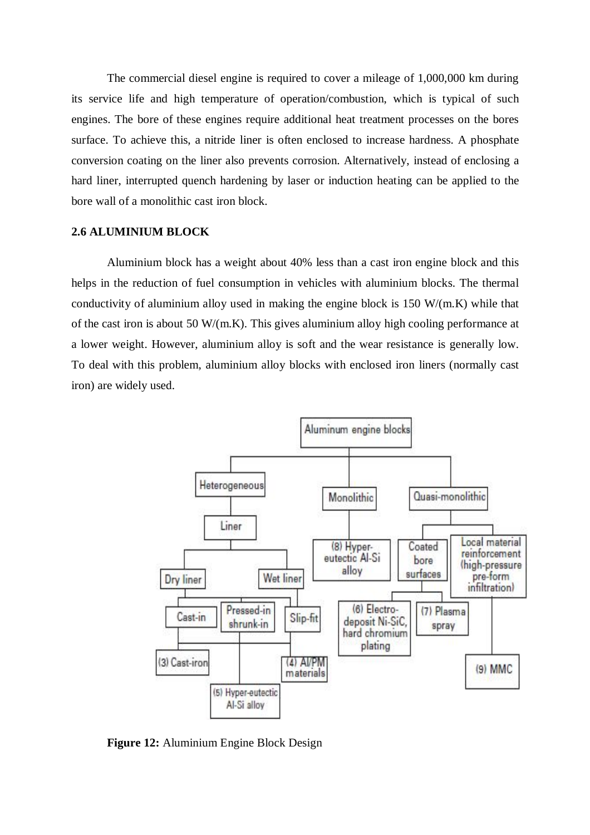The commercial diesel engine is required to cover a mileage of 1,000,000 km during its service life and high temperature of operation/combustion, which is typical of such engines. The bore of these engines require additional heat treatment processes on the bores surface. To achieve this, a nitride liner is often enclosed to increase hardness. A phosphate conversion coating on the liner also prevents corrosion. Alternatively, instead of enclosing a hard liner, interrupted quench hardening by laser or induction heating can be applied to the bore wall of a monolithic cast iron block.

#### **2.6 ALUMINIUM BLOCK**

Aluminium block has a weight about 40% less than a cast iron engine block and this helps in the reduction of fuel consumption in vehicles with aluminium blocks. The thermal conductivity of aluminium alloy used in making the engine block is 150 W/(m.K) while that of the cast iron is about 50 W/(m.K). This gives aluminium alloy high cooling performance at a lower weight. However, aluminium alloy is soft and the wear resistance is generally low. To deal with this problem, aluminium alloy blocks with enclosed iron liners (normally cast iron) are widely used.



**Figure 12:** Aluminium Engine Block Design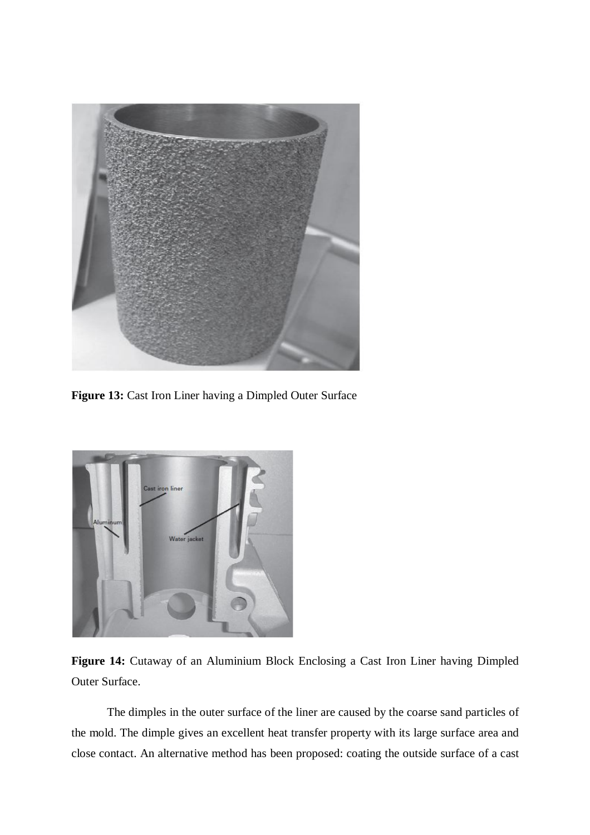

**Figure 13:** Cast Iron Liner having a Dimpled Outer Surface



**Figure 14:** Cutaway of an Aluminium Block Enclosing a Cast Iron Liner having Dimpled Outer Surface.

The dimples in the outer surface of the liner are caused by the coarse sand particles of the mold. The dimple gives an excellent heat transfer property with its large surface area and close contact. An alternative method has been proposed: coating the outside surface of a cast